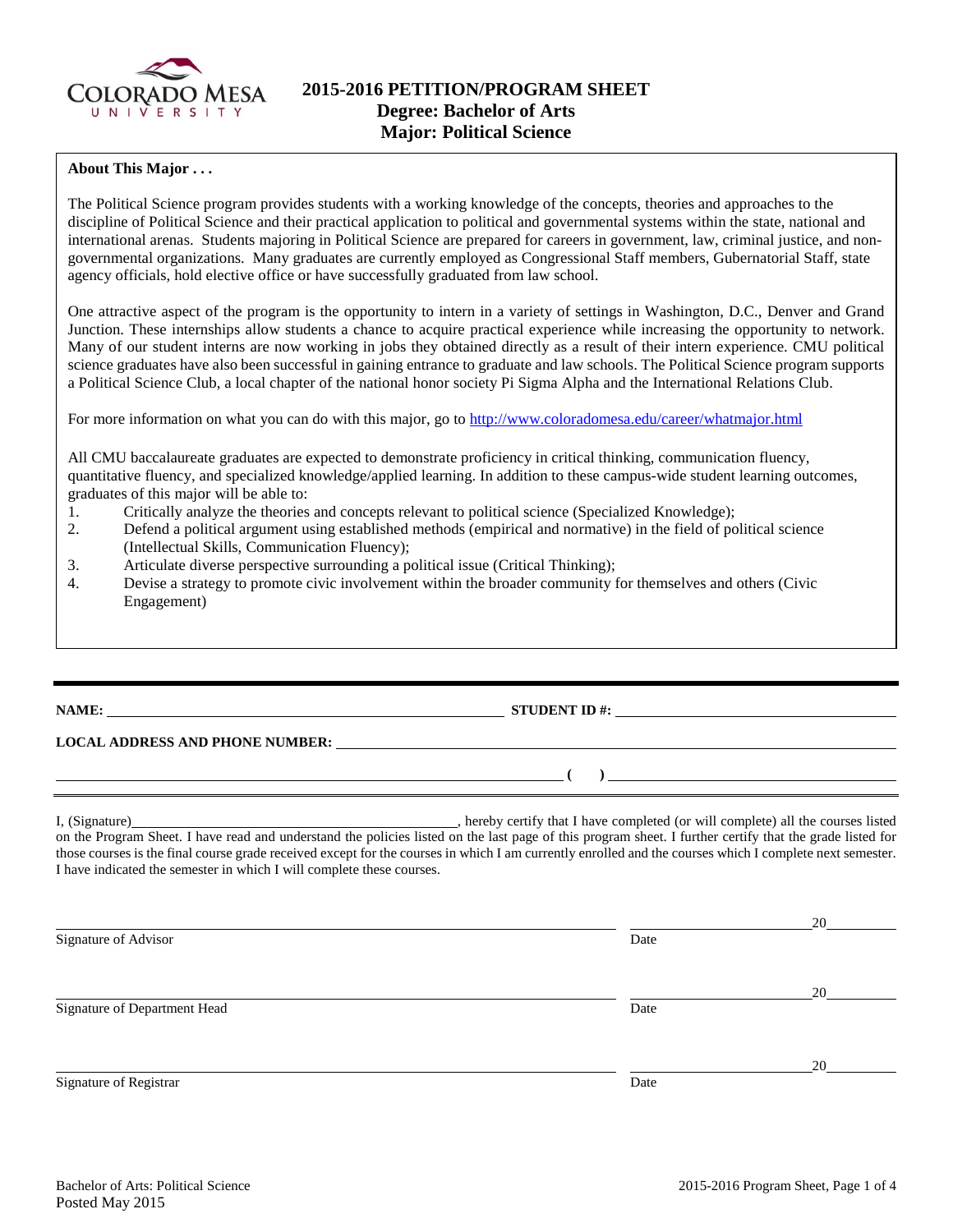

# **2015-2016 PETITION/PROGRAM SHEET Degree: Bachelor of Arts Major: Political Science**

## **About This Major . . .**

The Political Science program provides students with a working knowledge of the concepts, theories and approaches to the discipline of Political Science and their practical application to political and governmental systems within the state, national and international arenas. Students majoring in Political Science are prepared for careers in government, law, criminal justice, and nongovernmental organizations. Many graduates are currently employed as Congressional Staff members, Gubernatorial Staff, state agency officials, hold elective office or have successfully graduated from law school.

One attractive aspect of the program is the opportunity to intern in a variety of settings in Washington, D.C., Denver and Grand Junction. These internships allow students a chance to acquire practical experience while increasing the opportunity to network. Many of our student interns are now working in jobs they obtained directly as a result of their intern experience. CMU political science graduates have also been successful in gaining entrance to graduate and law schools. The Political Science program supports a Political Science Club, a local chapter of the national honor society Pi Sigma Alpha and the International Relations Club.

For more information on what you can do with this major, go to<http://www.coloradomesa.edu/career/whatmajor.html>

All CMU baccalaureate graduates are expected to demonstrate proficiency in critical thinking, communication fluency, quantitative fluency, and specialized knowledge/applied learning. In addition to these campus-wide student learning outcomes, graduates of this major will be able to:

- 1. Critically analyze the theories and concepts relevant to political science (Specialized Knowledge);<br>2. Defend a political argument using established methods (empirical and normative) in the field of po
- 2. Defend a political argument using established methods (empirical and normative) in the field of political science (Intellectual Skills, Communication Fluency);
- 3. Articulate diverse perspective surrounding a political issue (Critical Thinking);
- 4. Devise a strategy to promote civic involvement within the broader community for themselves and others (Civic Engagement)

# **NAME: STUDENT ID #: STUDENT ID #: STUDENT ID #: STUDENT ID #: STUDENT ID #: STUDENT ID #: STUDENT ID #: STUDENT ID #: STUDENT ID #: STUDENT ID #: STUDENT ID #: STUDENT ID #: STUDENT ID #: STUDE**

**( )** 

### **LOCAL ADDRESS AND PHONE NUMBER:**

I, (Signature) , hereby certify that I have completed (or will complete) all the courses listed on the Program Sheet. I have read and understand the policies listed on the last page of this program sheet. I further certify that the grade listed for those courses is the final course grade received except for the courses in which I am currently enrolled and the courses which I complete next semester. I have indicated the semester in which I will complete these courses.

 20 Signature of Advisor Date 20 Signature of Department Head Date 20 Signature of Registrar Date Date and Security and Security and Security and Security and Security and Security and Security and Security and Security and Security and Security and Security and Security and Security and Sec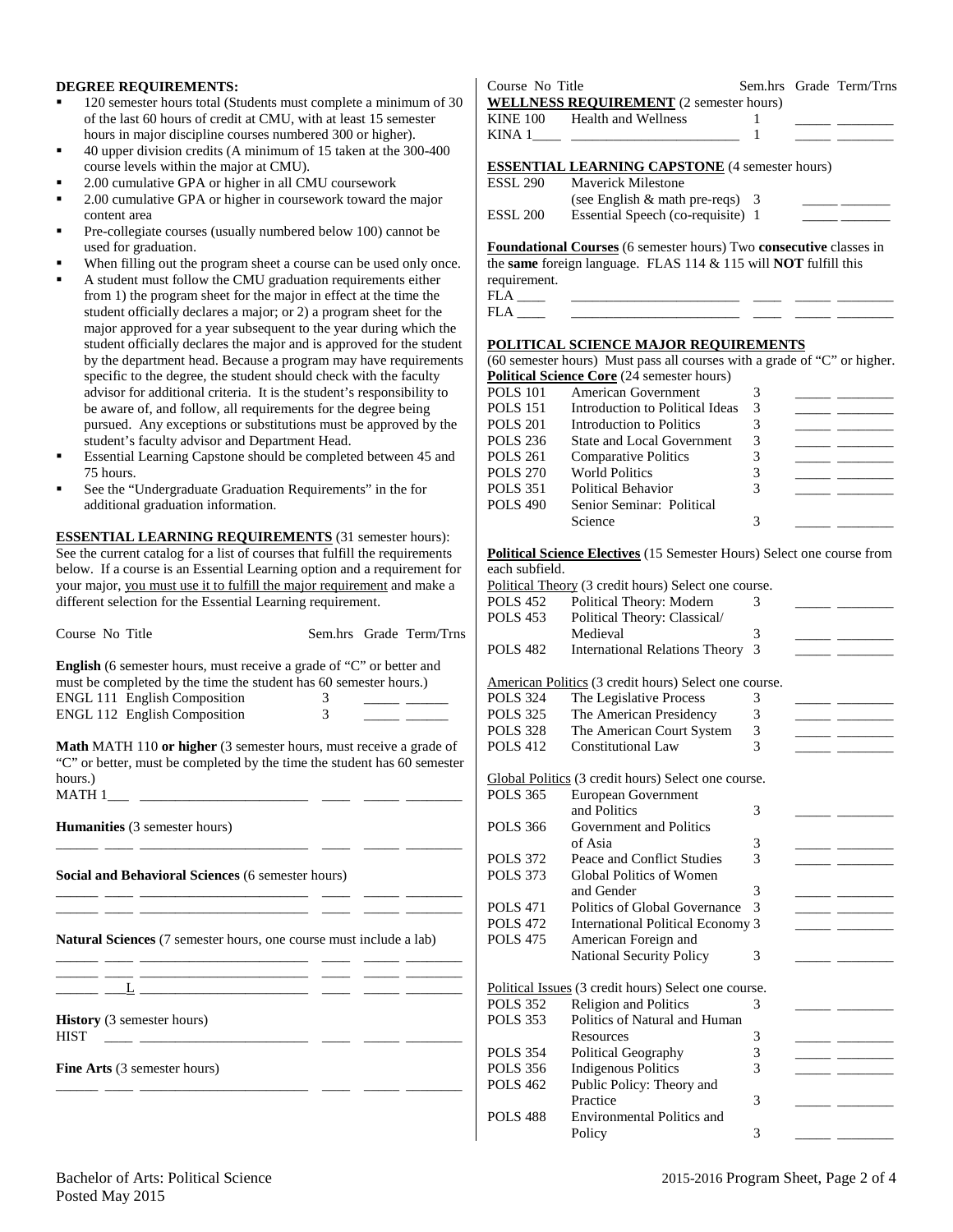### **DEGREE REQUIREMENTS:**

- 120 semester hours total (Students must complete a minimum of 30 of the last 60 hours of credit at CMU, with at least 15 semester hours in major discipline courses numbered 300 or higher).
- 40 upper division credits (A minimum of 15 taken at the 300-400 course levels within the major at CMU).
- 2.00 cumulative GPA or higher in all CMU coursework
- 2.00 cumulative GPA or higher in coursework toward the major content area
- Pre-collegiate courses (usually numbered below 100) cannot be used for graduation.
- When filling out the program sheet a course can be used only once.
- A student must follow the CMU graduation requirements either from 1) the program sheet for the major in effect at the time the student officially declares a major; or 2) a program sheet for the major approved for a year subsequent to the year during which the student officially declares the major and is approved for the student by the department head. Because a program may have requirements specific to the degree, the student should check with the faculty advisor for additional criteria. It is the student's responsibility to be aware of, and follow, all requirements for the degree being pursued. Any exceptions or substitutions must be approved by the student's faculty advisor and Department Head.
- Essential Learning Capstone should be completed between 45 and 75 hours.
- See the "Undergraduate Graduation Requirements" in the for additional graduation information.

**ESSENTIAL LEARNING REQUIREMENTS** (31 semester hours): See the current catalog for a list of courses that fulfill the requirements below. If a course is an Essential Learning option and a requirement for your major, you must use it to fulfill the major requirement and make a different selection for the Essential Learning requirement.

| Course No Title                                                                                                                                           |                | Sem.hrs Grade Term/Trns                          |
|-----------------------------------------------------------------------------------------------------------------------------------------------------------|----------------|--------------------------------------------------|
| <b>English</b> (6 semester hours, must receive a grade of "C" or better and<br>must be completed by the time the student has 60 semester hours.)          |                |                                                  |
| <b>ENGL 111 English Composition</b>                                                                                                                       | 3              |                                                  |
| <b>ENGL 112 English Composition</b>                                                                                                                       | $\mathfrak{Z}$ | <u> 1989 - John Barnett, francuski politik (</u> |
| Math MATH 110 or higher (3 semester hours, must receive a grade of<br>"C" or better, must be completed by the time the student has 60 semester<br>hours.) |                |                                                  |
| <b>Humanities</b> (3 semester hours)                                                                                                                      |                |                                                  |
| Social and Behavioral Sciences (6 semester hours)                                                                                                         |                |                                                  |
| <u> 2008 - Andrea Stadt Britain, amerikansk politik (</u><br><b>Natural Sciences</b> (7 semester hours, one course must include a lab)                    |                |                                                  |
| <u> 1999 - Jan James James, martin amerikan basar dan berasal dan berasal dari dalam basar dalam basar dalam basa</u>                                     |                |                                                  |
| <b>History</b> (3 semester hours)<br><u> 1989 - Johann Marie Barn, mars e</u><br>HIST                                                                     |                |                                                  |
| <b>Fine Arts</b> (3 semester hours)                                                                                                                       |                |                                                  |
|                                                                                                                                                           |                |                                                  |

Course No Title Sem.hrs Grade Term/Trns **WELLNESS REQUIREMENT** (2 semester hours) KINE 100 Health and Wellness 1 KINA  $1 \qquad \qquad$   $\qquad \qquad$   $\qquad \qquad$   $\qquad \qquad$   $\qquad \qquad$   $\qquad \qquad$   $\qquad \qquad$   $\qquad \qquad$   $\qquad \qquad$   $\qquad \qquad$   $\qquad \qquad$   $\qquad \qquad$   $\qquad$   $\qquad \qquad$   $\qquad$   $\qquad \qquad$   $\qquad \qquad$   $\qquad$   $\qquad$   $\qquad$   $\qquad$   $\qquad$   $\qquad$   $\qquad$   $\qquad$   $\qquad$   $\qquad$   $\qquad$   $\$ **ESSENTIAL LEARNING CAPSTONE** (4 semester hours) ESSL 290 Maverick Milestone (see English  $\&$  math pre-reqs)  $\frac{3}{2}$ ESSL 200 Essential Speech (co-requisite) 1

**Foundational Courses** (6 semester hours) Two **consecutive** classes in the **same** foreign language. FLAS 114 & 115 will **NOT** fulfill this requirement. FLA \_\_\_\_ \_\_\_\_\_\_\_\_\_\_\_\_\_\_\_\_\_\_\_\_\_\_\_\_ \_\_\_\_ \_\_\_\_\_ \_\_\_\_\_\_\_\_

FLA \_\_\_\_ \_\_\_\_\_\_\_\_\_\_\_\_\_\_\_\_\_\_\_\_\_\_\_\_ \_\_\_\_ \_\_\_\_\_ \_\_\_\_\_\_\_\_

#### **POLITICAL SCIENCE MAJOR REQUIREMENTS**

(60 semester hours) Must pass all courses with a grade of "C" or higher. **Political Science Core** (24 semester hours)

| <b>POLS 101</b> | American Government               |  |
|-----------------|-----------------------------------|--|
| <b>POLS 151</b> | Introduction to Political Ideas   |  |
| <b>POLS 201</b> | Introduction to Politics          |  |
| <b>POLS 236</b> | <b>State and Local Government</b> |  |
| <b>POLS 261</b> | <b>Comparative Politics</b>       |  |
| <b>POLS 270</b> | <b>World Politics</b>             |  |
| <b>POLS 351</b> | Political Behavior                |  |
| <b>POLS 490</b> | Senior Seminar: Political         |  |
|                 | Science                           |  |
|                 |                                   |  |

#### **Political Science Electives** (15 Semester Hours) Select one course from each subfield.

|                 | Political Theory (3 credit hours) Select one course.  |   |  |
|-----------------|-------------------------------------------------------|---|--|
| <b>POLS 452</b> | Political Theory: Modern                              | 3 |  |
| <b>POLS 453</b> | Political Theory: Classical/                          |   |  |
|                 | Medieval                                              | 3 |  |
| <b>POLS 482</b> | <b>International Relations Theory</b>                 | 3 |  |
|                 | American Politics (3 credit hours) Select one course. |   |  |
| <b>POLS 324</b> | The Legislative Process                               | 3 |  |
| <b>POLS 325</b> | The American Presidency                               | 3 |  |
| <b>POLS 328</b> | The American Court System                             | 3 |  |
| <b>POLS 412</b> | Constitutional Law                                    | 3 |  |
|                 | Global Politics (3 credit hours) Select one course.   |   |  |
| <b>POLS 365</b> | European Government                                   |   |  |
|                 | and Politics                                          | 3 |  |
| POLS 366        | Government and Politics                               |   |  |
|                 | of Asia                                               | 3 |  |
| <b>POLS 372</b> | Peace and Conflict Studies                            | 3 |  |
| <b>POLS 373</b> | <b>Global Politics of Women</b>                       |   |  |
|                 | and Gender                                            | 3 |  |
| <b>POLS 471</b> | Politics of Global Governance                         | 3 |  |
| <b>POLS 472</b> | <b>International Political Economy 3</b>              |   |  |
| <b>POLS 475</b> | American Foreign and                                  |   |  |
|                 | <b>National Security Policy</b>                       | 3 |  |
|                 | Political Issues (3 credit hours) Select one course.  |   |  |
| <b>POLS 352</b> | <b>Religion and Politics</b>                          | 3 |  |
| <b>POLS 353</b> | Politics of Natural and Human                         |   |  |
|                 | Resources                                             | 3 |  |
| <b>POLS 354</b> | <b>Political Geography</b>                            | 3 |  |
| <b>POLS 356</b> | <b>Indigenous Politics</b>                            | 3 |  |
| <b>POLS 462</b> | Public Policy: Theory and                             |   |  |
|                 | Practice                                              | 3 |  |
| <b>POLS 488</b> | <b>Environmental Politics and</b>                     |   |  |
|                 | Policy                                                | 3 |  |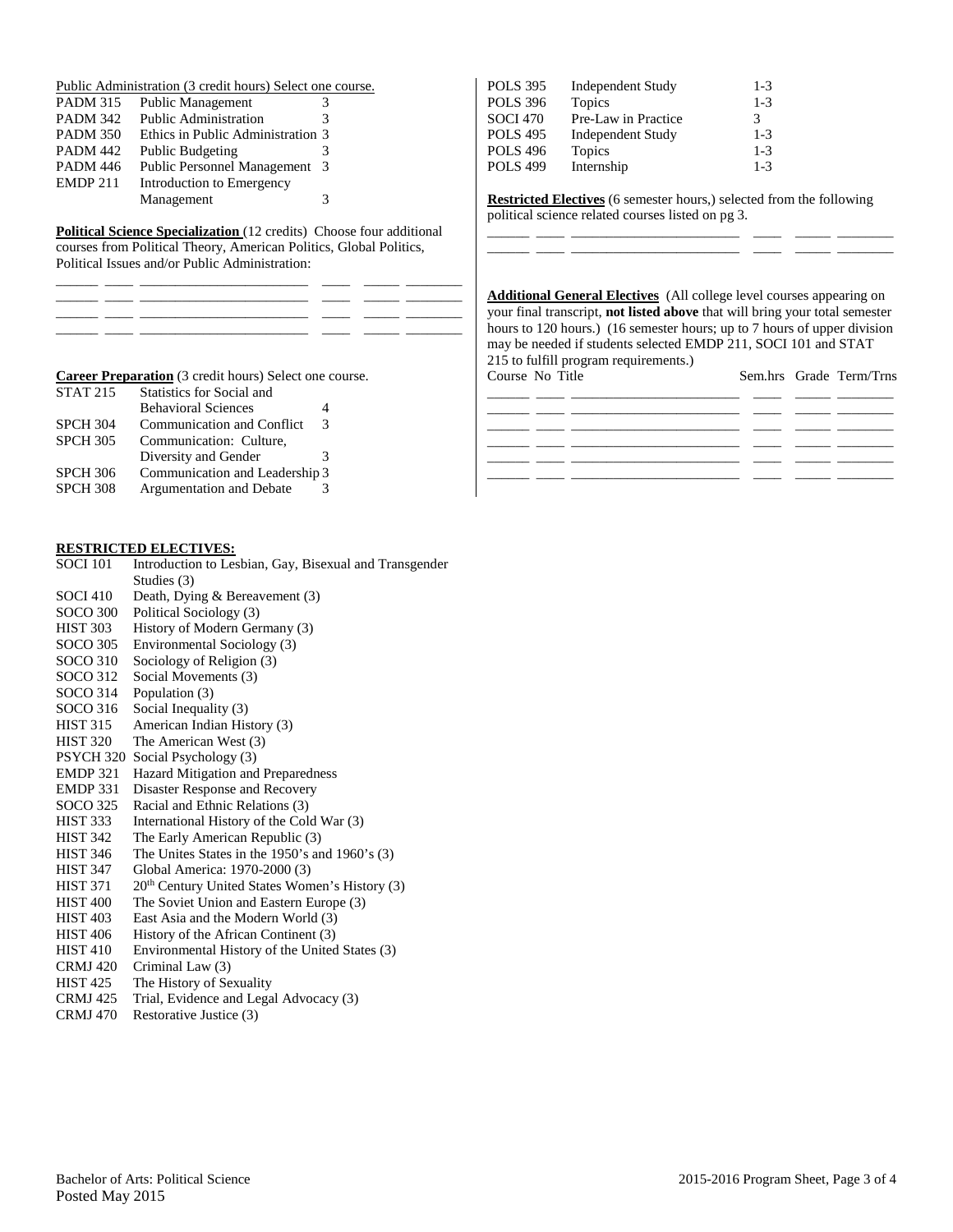|  | Public Administration (3 credit hours) Select one course. |  |  |
|--|-----------------------------------------------------------|--|--|
|--|-----------------------------------------------------------|--|--|

| <b>PADM 315</b> | <b>Public Management</b>           | 3  |
|-----------------|------------------------------------|----|
| <b>PADM 342</b> | Public Administration              | 3  |
| <b>PADM 350</b> | Ethics in Public Administration 3  |    |
| <b>PADM 442</b> | <b>Public Budgeting</b>            |    |
| <b>PADM 446</b> | <b>Public Personnel Management</b> | -3 |
| <b>EMDP 211</b> | Introduction to Emergency          |    |
|                 | Management                         | 3  |

**Political Science Specialization** (12 credits) Choose four additional courses from Political Theory, American Politics, Global Politics, Political Issues and/or Public Administration:

| POLS 395        | <b>Independent Study</b> | $1 - 3$ |
|-----------------|--------------------------|---------|
| POLS 396        | Topics                   | $1 - 3$ |
| SOCI 470        | Pre-Law in Practice      | 3       |
| <b>POLS 495</b> | <b>Independent Study</b> | $1 - 3$ |
| <b>POLS 496</b> | Topics                   | $1 - 3$ |
| <b>POLS 499</b> | Internship               | $1 - 3$ |

**Restricted Electives** (6 semester hours,) selected from the following political science related courses listed on pg 3.

\_\_\_\_\_\_ \_\_\_\_ \_\_\_\_\_\_\_\_\_\_\_\_\_\_\_\_\_\_\_\_\_\_\_\_ \_\_\_\_ \_\_\_\_\_ \_\_\_\_\_\_\_\_

\_\_\_\_\_\_ \_\_\_\_ \_\_\_\_\_\_\_\_\_\_\_\_\_\_\_\_\_\_\_\_\_\_\_\_ \_\_\_\_ \_\_\_\_\_ \_\_\_\_\_\_\_\_

**Additional General Electives** (All college level courses appearing on your final transcript, **not listed above** that will bring your total semester hours to 120 hours.) (16 semester hours; up to 7 hours of upper division may be needed if students selected EMDP 211, SOCI 101 and STAT 215 to fulfill program requirements.)

\_\_\_\_\_\_ \_\_\_\_ \_\_\_\_\_\_\_\_\_\_\_\_\_\_\_\_\_\_\_\_\_\_\_\_ \_\_\_\_ \_\_\_\_\_ \_\_\_\_\_\_\_\_ \_\_\_\_\_\_ \_\_\_\_ \_\_\_\_\_\_\_\_\_\_\_\_\_\_\_\_\_\_\_\_\_\_\_\_ \_\_\_\_ \_\_\_\_\_ \_\_\_\_\_\_\_\_

Course No Title

| Course No Title |  |  | Sem.hrs Grade Term/Trns |
|-----------------|--|--|-------------------------|
|                 |  |  |                         |
|                 |  |  |                         |
|                 |  |  |                         |
|                 |  |  |                         |

# **Career Preparation** (3 credit hours) Select one course.

| <b>STAT 215</b> | <b>Statistics for Social and</b>  |   |
|-----------------|-----------------------------------|---|
|                 | <b>Behavioral Sciences</b>        | 4 |
| <b>SPCH 304</b> | <b>Communication and Conflict</b> | 3 |
| <b>SPCH 305</b> | Communication: Culture,           |   |
|                 | Diversity and Gender              | 3 |
| <b>SPCH 306</b> | Communication and Leadership 3    |   |
| <b>SPCH 308</b> | Argumentation and Debate          | 3 |

## **RESTRICTED ELECTIVES:**

| <b>SOCI 101</b>  | Introduction to Lesbian, Gay, Bisexual and Transgender     |
|------------------|------------------------------------------------------------|
|                  | Studies (3)                                                |
| <b>SOCI 410</b>  | Death, Dying & Bereavement (3)                             |
| <b>SOCO 300</b>  | Political Sociology (3)                                    |
| HIST 303         | History of Modern Germany (3)                              |
| SOCO 305         | Environmental Sociology (3)                                |
| SOCO 310         | Sociology of Religion (3)                                  |
| SOCO 312         | Social Movements (3)                                       |
| SOCO 314         | Population (3)                                             |
| SOCO 316         | Social Inequality (3)                                      |
| HIST 315         | American Indian History (3)                                |
| HIST 320         | The American West (3)                                      |
| <b>PSYCH 320</b> | Social Psychology (3)                                      |
| EMDP 321         | Hazard Mitigation and Preparedness                         |
| EMDP 331         | Disaster Response and Recovery                             |
| SOCO 325         | Racial and Ethnic Relations (3)                            |
| HIST 333         | International History of the Cold War (3)                  |
| <b>HIST 342</b>  | The Early American Republic (3)                            |
| <b>HIST 346</b>  | The Unites States in the 1950's and 1960's $(3)$           |
| HIST 347         | Global America: 1970-2000 (3)                              |
| <b>HIST 371</b>  | 20 <sup>th</sup> Century United States Women's History (3) |
| <b>HIST 400</b>  | The Soviet Union and Eastern Europe (3)                    |
| <b>HIST 403</b>  | East Asia and the Modern World (3)                         |
| <b>HIST 406</b>  | History of the African Continent (3)                       |
| <b>HIST 410</b>  | Environmental History of the United States (3)             |
| <b>CRMJ 420</b>  | Criminal Law (3)                                           |
|                  |                                                            |

- HIST 425 The History of Sexuality
- CRMJ 425 Trial, Evidence and Legal Advocacy (3)
- CRMJ 470 Restorative Justice (3)